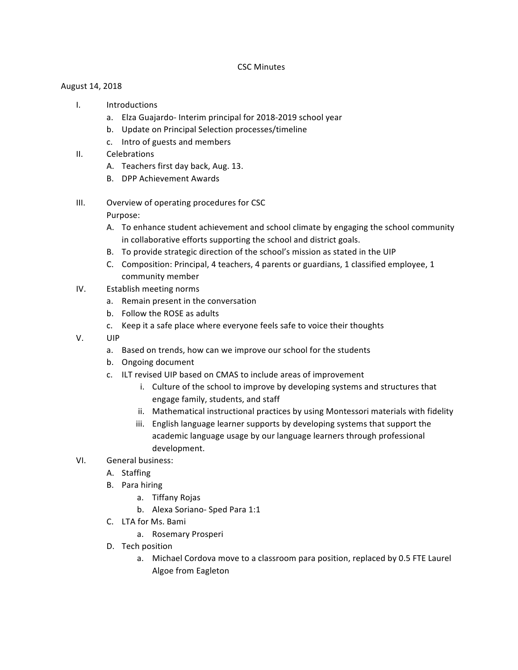## CSC Minutes

## August 14, 2018

- I. Introductions
	- a. Elza Guajardo- Interim principal for 2018-2019 school year
	- b. Update on Principal Selection processes/timeline
	- c. Intro of guests and members
- II. Celebrations
	- A. Teachers first day back, Aug. 13.
	- B. DPP Achievement Awards
- III. Overview of operating procedures for CSC

## Purpose:

- A. To enhance student achievement and school climate by engaging the school community in collaborative efforts supporting the school and district goals.
- B. To provide strategic direction of the school's mission as stated in the UIP
- C. Composition: Principal, 4 teachers, 4 parents or guardians, 1 classified employee, 1 community member
- IV. Establish meeting norms
	- a. Remain present in the conversation
	- b. Follow the ROSE as adults
	- c. Keep it a safe place where everyone feels safe to voice their thoughts
- V. UIP
	- a. Based on trends, how can we improve our school for the students
	- b. Ongoing document
	- c. ILT revised UIP based on CMAS to include areas of improvement
		- i. Culture of the school to improve by developing systems and structures that engage family, students, and staff
		- ii. Mathematical instructional practices by using Montessori materials with fidelity
		- iii. English language learner supports by developing systems that support the academic language usage by our language learners through professional development.
- VI. General business:
	- A. Staffing
	- B. Para hiring
		- a. Tiffany Rojas
		- b. Alexa Soriano- Sped Para 1:1
	- C. LTA for Ms. Bami
		- a. Rosemary Prosperi
	- D. Tech position
		- a. Michael Cordova move to a classroom para position, replaced by 0.5 FTE Laurel Algoe from Eagleton